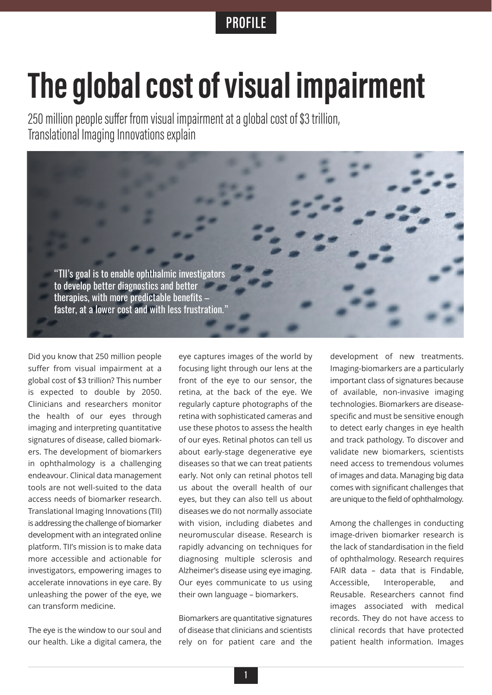## **PROFILE**

## **The global cost of visual impairment**<br>250 million people suffer from visual impairment at a global cost of \$3 trillion,

Translational Imaging Innovations explain



Did you know that 250 million people suffer from visual impairment at a global cost of \$3 trillion? This number is expected to double by 2050. Clinicians and researchers monitor the health of our eyes through imaging and interpreting quantitative signatures of disease, called biomarkers. The development of biomarkers in ophthalmology is a challenging endeavour. Clinical data management tools are not well-suited to the data access needs of biomarker research. Translational Imaging Innovations (TII) is addressing the challenge of biomarker development with an integrated online platform. TII's mission is to make data more accessible and actionable for investigators, empowering images to accelerate innovations in eye care. By unleashing the power of the eye, we can transform medicine.

The eye is the window to our soul and our health. Like a digital camera, the

eye captures images of the world by focusing light through our lens at the front of the eye to our sensor, the retina, at the back of the eye. We regularly capture photographs of the retina with sophisticated cameras and use these photos to assess the health of our eyes. Retinal photos can tell us about early-stage degenerative eye diseases so that we can treat patients early. Not only can retinal photos tell us about the overall health of our eyes, but they can also tell us about diseases we do not normally associate with vision, including diabetes and neuromuscular disease. Research is rapidly advancing on techniques for diagnosing multiple sclerosis and Alzheimer's disease using eye imaging. Our eyes communicate to us using their own language – biomarkers.

Biomarkers are quantitative signatures of disease that clinicians and scientists rely on for patient care and the

development of new treatments. Imaging-biomarkers are a particularly important class of signatures because of available, non-invasive imaging technologies. Biomarkers are diseasespecific and must be sensitive enough to detect early changes in eye health and track pathology. To discover and validate new biomarkers, scientists need access to tremendous volumes of images and data. Managing big data comes with significant challenges that are unique to the field of ophthalmology.

Among the challenges in conducting image-driven biomarker research is the lack of standardisation in the field of ophthalmology. Research requires FAIR data – data that is Findable, Accessible, Interoperable, and Reusable. Researchers cannot find images associated with medical records. They do not have access to clinical records that have protected patient health information. Images